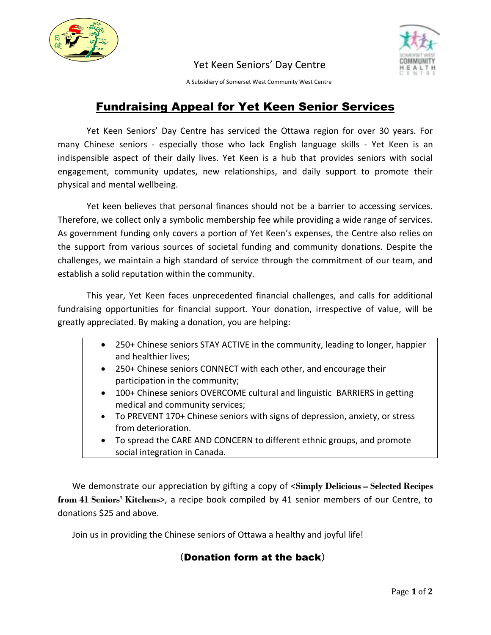

## Yet Keen Seniors' Day Centre



A Subsidiary of Somerset West Community West Centre

## Fundraising Appeal for Yet Keen Senior Services

Yet Keen Seniors' Day Centre has serviced the Ottawa region for over 30 years. For many Chinese seniors - especially those who lack English language skills - Yet Keen is an indispensible aspect of their daily lives. Yet Keen is a hub that provides seniors with social engagement, community updates, new relationships, and daily support to promote their physical and mental wellbeing.

Yet keen believes that personal finances should not be a barrier to accessing services. Therefore, we collect only a symbolic membership fee while providing a wide range of services. As government funding only covers a portion of Yet Keen's expenses, the Centre also relies on the support from various sources of societal funding and community donations. Despite the challenges, we maintain a high standard of service through the commitment of our team, and establish a solid reputation within the community.

This year, Yet Keen faces unprecedented financial challenges, and calls for additional fundraising opportunities for financial support. Your donation, irrespective of value, will be greatly appreciated. By making a donation, you are helping:

- 250+ Chinese seniors STAY ACTIVE in the community, leading to longer, happier and healthier lives;
- 250+ Chinese seniors CONNECT with each other, and encourage their participation in the community;
- 100+ Chinese seniors OVERCOME cultural and linguistic BARRIERS in getting medical and community services;
- To PREVENT 170+ Chinese seniors with signs of depression, anxiety, or stress from deterioration.
- To spread the CARE AND CONCERN to different ethnic groups, and promote social integration in Canada.

We demonstrate our appreciation by gifting a copy of <**Simply Delicious – Selected Recipes from 41 Seniors' Kitchens**>, a recipe book compiled by 41 senior members of our Centre, to donations \$25 and above.

Join us in providing the Chinese seniors of Ottawa a healthy and joyful life!

## (Donation form at the back)